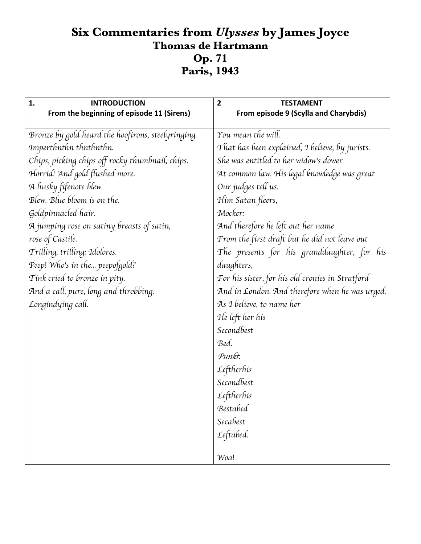## **Six Commentaries from** *Ulysses* **by James Joyce Thomas de Hartmann Op. 71 Paris, 1943**

| 1.<br><b>INTRODUCTION</b>                          | $\overline{2}$<br><b>TESTAMENT</b>               |
|----------------------------------------------------|--------------------------------------------------|
| From the beginning of episode 11 (Sirens)          | From episode 9 (Scylla and Charybdis)            |
| Bronze by gold heard the hoofirons, steelyringing. | You mean the will.                               |
| Imperthnthn thnthnthn.                             | That has been explained, I believe, by jurists.  |
| Chips, picking chips off rocky thumbnail, chips.   | She was entitled to her widow's dower            |
| Horrid! And gold flushed more.                     | At common law. His legal knowledge was great     |
| A husky fífenote blew.                             | Our judges tell us.                              |
| Blew. Blue bloom is on the.                        | Him Satan fleers,                                |
| Goldpinnacled hair.                                | Mocker:                                          |
| A jumping rose on satiny breasts of satin,         | And therefore he left out her name               |
| rose of Castile.                                   | From the first draft but he did not leave out    |
| Trilling, trilling: Idolores.                      | The presents for his granddaughter, for his      |
| Peep! Who's in the peepofgold?                     | daughters,                                       |
| Tink cried to bronze in pity.                      | For his sister, for his old cronies in Stratford |
| And a call, pure, long and throbbing.              | And in London. And therefore when he was urged,  |
| Longindying call.                                  | As I believe, to name her                        |
|                                                    | He left her his                                  |
|                                                    | Secondbest                                       |
|                                                    | Bed.                                             |
|                                                    | Punkt.                                           |
|                                                    | Leftherhis                                       |
|                                                    | Secondbest                                       |
|                                                    | Leftherhis                                       |
|                                                    | Bestabed                                         |
|                                                    | Secabest                                         |
|                                                    | Leftabed.                                        |
|                                                    |                                                  |
|                                                    | Woa!                                             |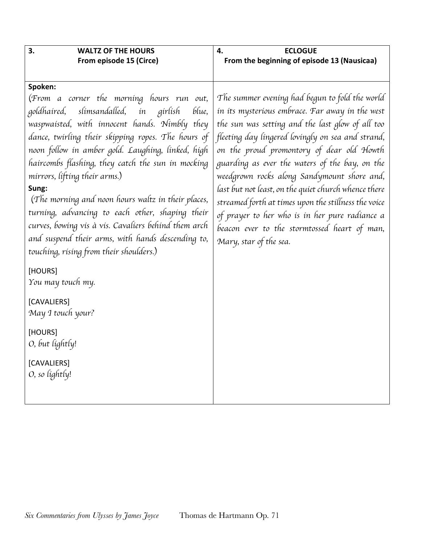| 3.<br><b>WALTZ OF THE HOURS</b>                                                                                                                                                                                                                                                                                                                                                                                                                                                                                                                                                                                                                                                                                                                                          | <b>ECLOGUE</b><br>4.                                                                                                                                                                                                                                                                                                                                                                                                                                                                                                                                                                                 |
|--------------------------------------------------------------------------------------------------------------------------------------------------------------------------------------------------------------------------------------------------------------------------------------------------------------------------------------------------------------------------------------------------------------------------------------------------------------------------------------------------------------------------------------------------------------------------------------------------------------------------------------------------------------------------------------------------------------------------------------------------------------------------|------------------------------------------------------------------------------------------------------------------------------------------------------------------------------------------------------------------------------------------------------------------------------------------------------------------------------------------------------------------------------------------------------------------------------------------------------------------------------------------------------------------------------------------------------------------------------------------------------|
| From episode 15 (Circe)                                                                                                                                                                                                                                                                                                                                                                                                                                                                                                                                                                                                                                                                                                                                                  | From the beginning of episode 13 (Nausicaa)                                                                                                                                                                                                                                                                                                                                                                                                                                                                                                                                                          |
| Spoken:<br>(From a corner the morning hours run out,<br>slimsandalled, in girlish<br>blue,<br>goldhaired,<br>waspwaisted, with innocent hands. Nimbly they<br>dance, twirling their skipping ropes. The hours of<br>noon follow in amber gold. Laughing, linked, high<br>haircombs flashing, they catch the sun in mocking<br>mirrors, lifting their arms.)<br>Sung:<br>(The morning and noon hours waltz in their places,<br>turning, advancing to each other, shaping their<br>curves, bowing vis à vis. Cavaliers behind them arch<br>and suspend their arms, with hands descending to,<br>touching, rising from their shoulders.)<br>[HOURS]<br>You may touch my.<br>[CAVALIERS]<br>May I touch your?<br>[HOURS]<br>O, but lightly!<br>[CAVALIERS]<br>O, so lightly! | The summer evening had begun to fold the world<br>in its mysterious embrace. Far away in the west<br>the sun was setting and the last glow of all too<br>fleeting day lingered lovingly on sea and strand,<br>on the proud promontory of dear old Howth<br>guarding as ever the waters of the bay, on the<br>weedgrown rocks along Sandymount shore and,<br>last but not least, on the quiet church whence there<br>streamed forth at times upon the stillness the voice<br>of prayer to her who is in her pure radiance a<br>beacon ever to the stormtossed heart of man,<br>Mary, star of the sea. |
|                                                                                                                                                                                                                                                                                                                                                                                                                                                                                                                                                                                                                                                                                                                                                                          |                                                                                                                                                                                                                                                                                                                                                                                                                                                                                                                                                                                                      |